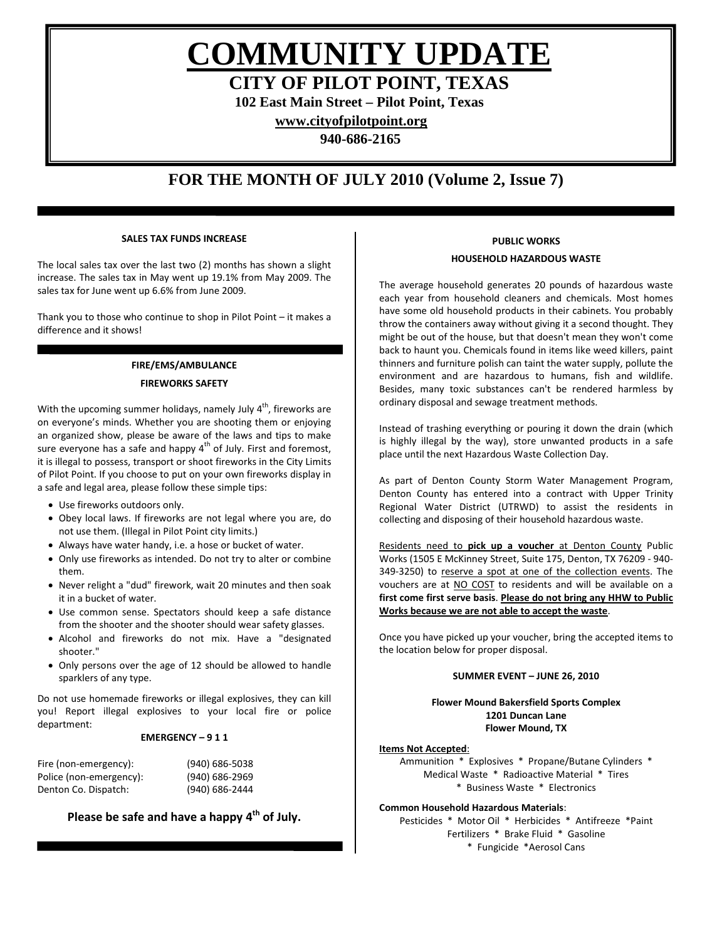**COMMUNITY UPDATE**

**CITY OF PILOT POINT, TEXAS**

**102 East Main Street – Pilot Point, Texas**

**[www.cityofpilotpoint.org](http://www.cityofpilotpoint.org/)**

**940-686-2165**

## **FOR THE MONTH OF JULY 2010 (Volume 2, Issue 7)**

## **SALES TAX FUNDS INCREASE**

The local sales tax over the last two (2) months has shown a slight increase. The sales tax in May went up 19.1% from May 2009. The sales tax for June went up 6.6% from June 2009.

Thank you to those who continue to shop in Pilot Point – it makes a difference and it shows!

## **FIRE/EMS/AMBULANCE FIREWORKS SAFETY**

With the upcoming summer holidays, namely July  $4<sup>th</sup>$ , fireworks are on everyone's minds. Whether you are shooting them or enjoying an organized show, please be aware of the laws and tips to make sure everyone has a safe and happy  $4<sup>th</sup>$  of July. First and foremost, it is illegal to possess, transport or shoot fireworks in the City Limits of Pilot Point. If you choose to put on your own fireworks display in a safe and legal area, please follow these simple tips:

• Use fireworks outdoors only.

- Obey local laws. If fireworks are not legal where you are, do not use them. (Illegal in Pilot Point city limits.)
- Always have water handy, i.e. a hose or bucket of water.
- Only use fireworks as intended. Do not try to alter or combine them.
- Never relight a "dud" firework, wait 20 minutes and then soak it in a bucket of water.
- Use common sense. Spectators should keep a safe distance from the shooter and the shooter should wear safety glasses.
- Alcohol and fireworks do not mix. Have a "designated shooter."
- Only persons over the age of 12 should be allowed to handle sparklers of any type.

Do not use homemade fireworks or illegal explosives, they can kill you! Report illegal explosives to your local fire or police department:

## **EMERGENCY – 9 1 1**

| Fire (non-emergency):   | (940) 686-5038 |
|-------------------------|----------------|
| Police (non-emergency): | (940) 686-2969 |
| Denton Co. Dispatch:    | (940) 686-2444 |

## **Please be safe and have a happy 4th of July.**

## **PUBLIC WORKS**

#### **HOUSEHOLD HAZARDOUS WASTE**

The average household generates 20 pounds of hazardous waste each year from household cleaners and chemicals. Most homes have some old household products in their cabinets. You probably throw the containers away without giving it a second thought. They might be out of the house, but that doesn't mean they won't come back to haunt you. Chemicals found in items like weed killers, paint thinners and furniture polish can taint the water supply, pollute the environment and are hazardous to humans, fish and wildlife. Besides, many toxic substances can't be rendered harmless by ordinary disposal and sewage treatment methods.

Instead of trashing everything or pouring it down the drain (which is highly illegal by the way), store unwanted products in a safe place until the next Hazardous Waste Collection Day.

As part of Denton County Storm Water Management Program, Denton County has entered into a contract with Upper Trinity Regional Water District (UTRWD) to assist the residents in collecting and disposing of their household hazardous waste.

Residents need to **pick up a voucher** at Denton County Public Works (1505 E McKinney Street, Suite 175, Denton, TX 76209 - 940- 349-3250) to reserve a spot at one of the collection events. The vouchers are at NO COST to residents and will be available on a **first come first serve basis**. **Please do not bring any HHW to Public Works because we are not able to accept the waste**.

Once you have picked up your voucher, bring the accepted items to the location below for proper disposal.

## **SUMMER EVENT – JUNE 26, 2010**

**Flower Mound Bakersfield Sports Complex 1201 Duncan Lane Flower Mound, TX**

#### **Items Not Accepted**:

Ammunition \* Explosives \* Propane/Butane Cylinders \* Medical Waste \* Radioactive Material \* Tires \* Business Waste \* Electronics

## **Common Household Hazardous Materials**:

Pesticides \* Motor Oil \* Herbicides \* Antifreeze \*Paint Fertilizers \* Brake Fluid \* Gasoline \* Fungicide \*Aerosol Cans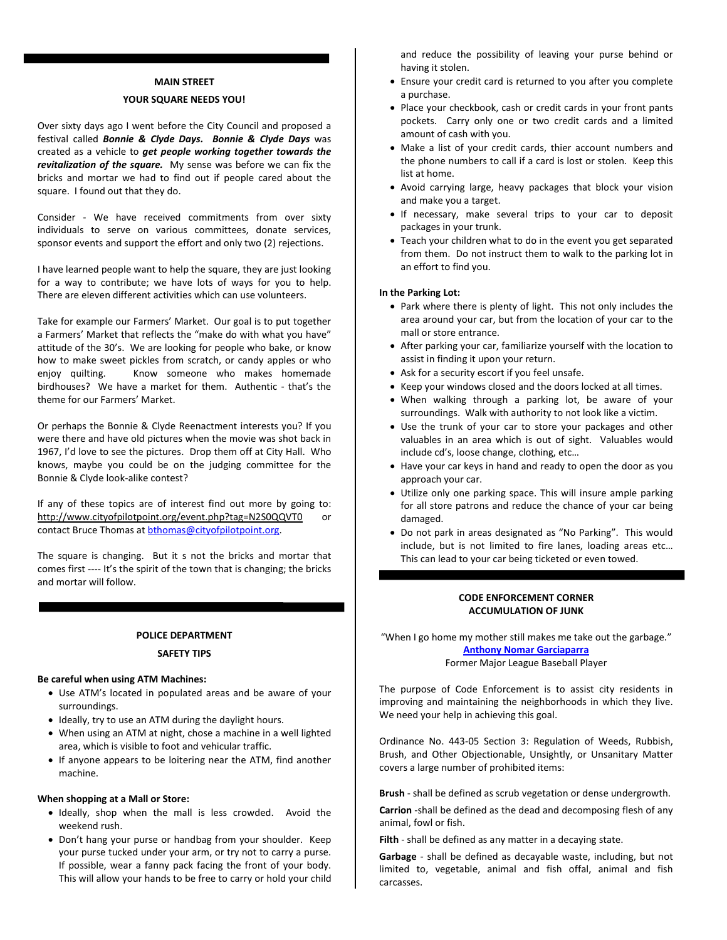#### **MAIN STREET**

#### **YOUR SQUARE NEEDS YOU!**

Over sixty days ago I went before the City Council and proposed a festival called *Bonnie & Clyde Days. Bonnie & Clyde Days* was created as a vehicle to *get people working together towards the revitalization of the square.* My sense was before we can fix the bricks and mortar we had to find out if people cared about the square. I found out that they do.

Consider - We have received commitments from over sixty individuals to serve on various committees, donate services, sponsor events and support the effort and only two (2) rejections.

I have learned people want to help the square, they are just looking for a way to contribute; we have lots of ways for you to help. There are eleven different activities which can use volunteers.

Take for example our Farmers' Market. Our goal is to put together a Farmers' Market that reflects the "make do with what you have" attitude of the 30's. We are looking for people who bake, or know how to make sweet pickles from scratch, or candy apples or who enjoy quilting. Know someone who makes homemade birdhouses? We have a market for them. Authentic - that's the theme for our Farmers' Market.

Or perhaps the Bonnie & Clyde Reenactment interests you? If you were there and have old pictures when the movie was shot back in 1967, I'd love to see the pictures. Drop them off at City Hall. Who knows, maybe you could be on the judging committee for the Bonnie & Clyde look-alike contest?

If any of these topics are of interest find out more by going to: <http://www.cityofpilotpoint.org/event.php?tag=N2S0QQVT0> or contact Bruce Thomas a[t bthomas@cityofpilotpoint.org.](mailto:bthomas@cityofpilotpoint.org)

The square is changing. But it s not the bricks and mortar that comes first ---- It's the spirit of the town that is changing; the bricks and mortar will follow.

#### **POLICE DEPARTMENT**

#### **SAFETY TIPS**

#### **Be careful when using ATM Machines:**

- Use ATM's located in populated areas and be aware of your surroundings.
- Ideally, try to use an ATM during the daylight hours.
- When using an ATM at night, chose a machine in a well lighted area, which is visible to foot and vehicular traffic.
- If anyone appears to be loitering near the ATM, find another machine.

#### **When shopping at a Mall or Store:**

- Ideally, shop when the mall is less crowded. Avoid the weekend rush.
- Don't hang your purse or handbag from your shoulder. Keep your purse tucked under your arm, or try not to carry a purse. If possible, wear a fanny pack facing the front of your body. This will allow your hands to be free to carry or hold your child

and reduce the possibility of leaving your purse behind or having it stolen.

- Ensure your credit card is returned to you after you complete a purchase.
- Place your checkbook, cash or credit cards in your front pants pockets. Carry only one or two credit cards and a limited amount of cash with you.
- Make a list of your credit cards, thier account numbers and the phone numbers to call if a card is lost or stolen. Keep this list at home.
- Avoid carrying large, heavy packages that block your vision and make you a target.
- If necessary, make several trips to your car to deposit packages in your trunk.
- Teach your children what to do in the event you get separated from them. Do not instruct them to walk to the parking lot in an effort to find you.

#### **In the Parking Lot:**

- Park where there is plenty of light. This not only includes the area around your car, but from the location of your car to the mall or store entrance.
- After parking your car, familiarize yourself with the location to assist in finding it upon your return.
- Ask for a security escort if you feel unsafe.
- Keep your windows closed and the doors locked at all times.
- When walking through a parking lot, be aware of your surroundings. Walk with authority to not look like a victim.
- Use the trunk of your car to store your packages and other valuables in an area which is out of sight. Valuables would include cd's, loose change, clothing, etc…
- Have your car keys in hand and ready to open the door as you approach your car.
- Utilize only one parking space. This will insure ample parking for all store patrons and reduce the chance of your car being damaged.
- Do not park in areas designated as "No Parking". This would include, but is not limited to fire lanes, loading areas etc… This can lead to your car being ticketed or even towed.

#### **CODE ENFORCEMENT CORNER ACCUMULATION OF JUNK**

"When I go home my mother still makes me take out the garbage." **[Anthony Nomar Garciaparra](http://www.brainyquote.com/quotes/quotes/n/nomargarci286027.html)** Former Major League Baseball Player

The purpose of Code Enforcement is to assist city residents in improving and maintaining the neighborhoods in which they live. We need your help in achieving this goal.

Ordinance No. 443-05 Section 3: Regulation of Weeds, Rubbish, Brush, and Other Objectionable, Unsightly, or Unsanitary Matter covers a large number of prohibited items:

**Brush** - shall be defined as scrub vegetation or dense undergrowth.

**Carrion** -shall be defined as the dead and decomposing flesh of any animal, fowl or fish.

**Filth** - shall be defined as any matter in a decaying state.

**Garbage** - shall be defined as decayable waste, including, but not limited to, vegetable, animal and fish offal, animal and fish carcasses.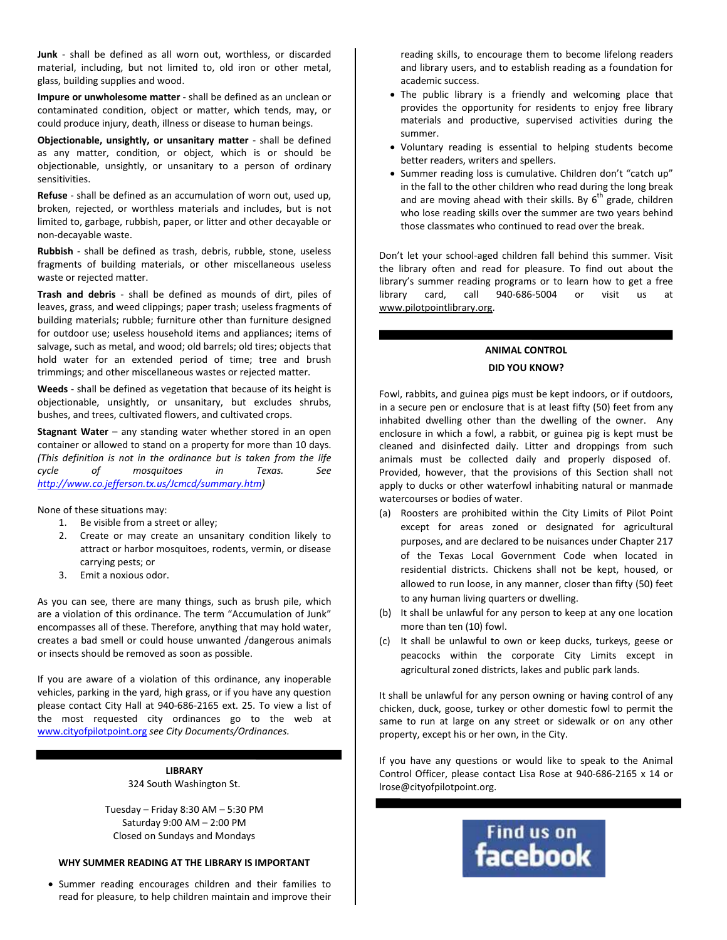**Junk** - shall be defined as all worn out, worthless, or discarded material, including, but not limited to, old iron or other metal, glass, building supplies and wood.

**Impure or unwholesome matter** - shall be defined as an unclean or contaminated condition, object or matter, which tends, may, or could produce injury, death, illness or disease to human beings.

**Objectionable, unsightly, or unsanitary matter** - shall be defined as any matter, condition, or object, which is or should be objectionable, unsightly, or unsanitary to a person of ordinary sensitivities.

**Refuse** - shall be defined as an accumulation of worn out, used up, broken, rejected, or worthless materials and includes, but is not limited to, garbage, rubbish, paper, or litter and other decayable or non-decayable waste.

**Rubbish** - shall be defined as trash, debris, rubble, stone, useless fragments of building materials, or other miscellaneous useless waste or rejected matter.

**Trash and debris** - shall be defined as mounds of dirt, piles of leaves, grass, and weed clippings; paper trash; useless fragments of building materials; rubble; furniture other than furniture designed for outdoor use; useless household items and appliances; items of salvage, such as metal, and wood; old barrels; old tires; objects that hold water for an extended period of time; tree and brush trimmings; and other miscellaneous wastes or rejected matter.

**Weeds** - shall be defined as vegetation that because of its height is objectionable, unsightly, or unsanitary, but excludes shrubs, bushes, and trees, cultivated flowers, and cultivated crops.

**Stagnant Water** – any standing water whether stored in an open container or allowed to stand on a property for more than 10 days. *(This definition is not in the ordinance but is taken from the life cycle of mosquitoes in Texas. See [http://www.co.jefferson.tx.us/Jcmcd/summary.htm\)](http://www.co.jefferson.tx.us/Jcmcd/summary.htm)*

None of these situations may:

- 1. Be visible from a street or alley;
- 2. Create or may create an unsanitary condition likely to attract or harbor mosquitoes, rodents, vermin, or disease carrying pests; or
- 3. Emit a noxious odor.

As you can see, there are many things, such as brush pile, which are a violation of this ordinance. The term "Accumulation of Junk" encompasses all of these. Therefore, anything that may hold water, creates a bad smell or could house unwanted /dangerous animals or insects should be removed as soon as possible.

If you are aware of a violation of this ordinance, any inoperable vehicles, parking in the yard, high grass, or if you have any question please contact City Hall at 940-686-2165 ext. 25. To view a list of the most requested city ordinances go to the web at [www.cityofpilotpoint.org](http://www.cityofpilotpoint.org/) *see City Documents/Ordinances.*

> **LIBRARY** 324 South Washington St.

Tuesday – Friday 8:30 AM – 5:30 PM Saturday 9:00 AM – 2:00 PM Closed on Sundays and Mondays

#### **WHY SUMMER READING AT THE LIBRARY IS IMPORTANT**

• Summer reading encourages children and their families to read for pleasure, to help children maintain and improve their reading skills, to encourage them to become lifelong readers and library users, and to establish reading as a foundation for academic success.

- The public library is a friendly and welcoming place that provides the opportunity for residents to enjoy free library materials and productive, supervised activities during the summer.
- Voluntary reading is essential to helping students become better readers, writers and spellers.
- Summer reading loss is cumulative. Children don't "catch up" in the fall to the other children who read during the long break and are moving ahead with their skills. By  $6<sup>th</sup>$  grade, children who lose reading skills over the summer are two years behind those classmates who continued to read over the break.

Don't let your school-aged children fall behind this summer. Visit the library often and read for pleasure. To find out about the library's summer reading programs or to learn how to get a free library card, call 940-686-5004 or visit us at [www.pilotpointlibrary.org.](http://www.pilotpointlibrary.org/)

## **ANIMAL CONTROL DID YOU KNOW?**

Fowl, rabbits, and guinea pigs must be kept indoors, or if outdoors, in a secure pen or enclosure that is at least fifty (50) feet from any inhabited dwelling other than the dwelling of the owner. Any enclosure in which a fowl, a rabbit, or guinea pig is kept must be cleaned and disinfected daily. Litter and droppings from such animals must be collected daily and properly disposed of. Provided, however, that the provisions of this Section shall not apply to ducks or other waterfowl inhabiting natural or manmade watercourses or bodies of water.

- (a) Roosters are prohibited within the City Limits of Pilot Point except for areas zoned or designated for agricultural purposes, and are declared to be nuisances under Chapter 217 of the Texas Local Government Code when located in residential districts. Chickens shall not be kept, housed, or allowed to run loose, in any manner, closer than fifty (50) feet to any human living quarters or dwelling.
- (b) It shall be unlawful for any person to keep at any one location more than ten (10) fowl.
- (c) It shall be unlawful to own or keep ducks, turkeys, geese or peacocks within the corporate City Limits except in agricultural zoned districts, lakes and public park lands.

It shall be unlawful for any person owning or having control of any chicken, duck, goose, turkey or other domestic fowl to permit the same to run at large on any street or sidewalk or on any other property, except his or her own, in the City.

If you have any questions or would like to speak to the Animal Control Officer, please contact Lisa Rose at 940-686-2165 x 14 or lrose@cityofpilotpoint.org.

# Find us on<br>**facebook**